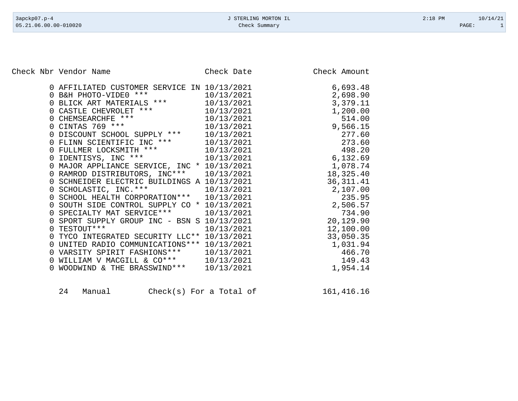Check Nbr Vendor Name Check Date Check Date Check Amount

|  | 0 AFFILIATED CUSTOMER SERVICE IN 10/13/2021                                                                            |            | 6,693.48   |
|--|------------------------------------------------------------------------------------------------------------------------|------------|------------|
|  |                                                                                                                        | 10/13/2021 | 2,698.90   |
|  |                                                                                                                        | 10/13/2021 | 3,379.11   |
|  |                                                                                                                        | 10/13/2021 | 1,200.00   |
|  |                                                                                                                        | 10/13/2021 | 514.00     |
|  | 0 B&H PHOTO-VIDE0 ***<br>0 BLICK ART MATERIALS ***<br>0 CASTLE CHEVROLET ***<br>0 CHEMSEARCHFE ***<br>0 CINTAS 769 *** | 10/13/2021 | 9,566.15   |
|  | 0 DISCOUNT SCHOOL SUPPLY ***                                                                                           | 10/13/2021 | 277.60     |
|  |                                                                                                                        |            | 273.60     |
|  |                                                                                                                        |            | 498.20     |
|  | 0 FLINN SCIENTIFIC INC *** 10/13/2021<br>0 FULLMER LOCKSMITH *** 10/13/2021<br>0 IDENTISYS, INC *** 10/13/2021         | 10/13/2021 | 6,132.69   |
|  | 0 MAJOR APPLIANCE SERVICE, INC * 10/13/2021                                                                            |            | 1,078.74   |
|  | 0 RAMROD DISTRIBUTORS, INC*** 10/13/2021                                                                               |            | 18,325.40  |
|  | 0 SCHNEIDER ELECTRIC BUILDINGS A 10/13/2021                                                                            |            | 36, 311.41 |
|  | 0 SCHOLASTIC, INC. *** 10/13/2021                                                                                      |            | 2,107.00   |
|  | 0 SCHOOL HEALTH CORPORATION *** 10/13/2021                                                                             |            | 235.95     |
|  | 0 SOUTH SIDE CONTROL SUPPLY CO * 10/13/2021                                                                            |            | 2,506.57   |
|  | 0 SPECIALTY MAT SERVICE *** 10/13/2021                                                                                 |            | 734.90     |
|  | 0 SPORT SUPPLY GROUP INC - BSN S 10/13/2021                                                                            |            | 20,129.90  |
|  | 0 TESTOUT ***                                                                                                          | 10/13/2021 | 12,100.00  |
|  | 0 TYCO INTEGRATED SECURITY LLC** 10/13/2021                                                                            |            | 33,050.35  |
|  | 0 UNITED RADIO COMMUNICATIONS *** 10/13/2021                                                                           |            | 1,031.94   |
|  |                                                                                                                        |            | 466.70     |
|  | 0 VARSITY SPIRIT FASHIONS *** $10/13/2021$<br>0 WILLIAM V MACGILL & CO*** $10/13/2021$                                 |            | 149.43     |
|  | 0 WOODWIND & THE BRASSWIND ***                                                                                         | 10/13/2021 | 1,954.14   |
|  |                                                                                                                        |            |            |

| 24 | Manual | $Check(s)$ For a Total of |  |  |  | 161,416.16 |
|----|--------|---------------------------|--|--|--|------------|
|----|--------|---------------------------|--|--|--|------------|